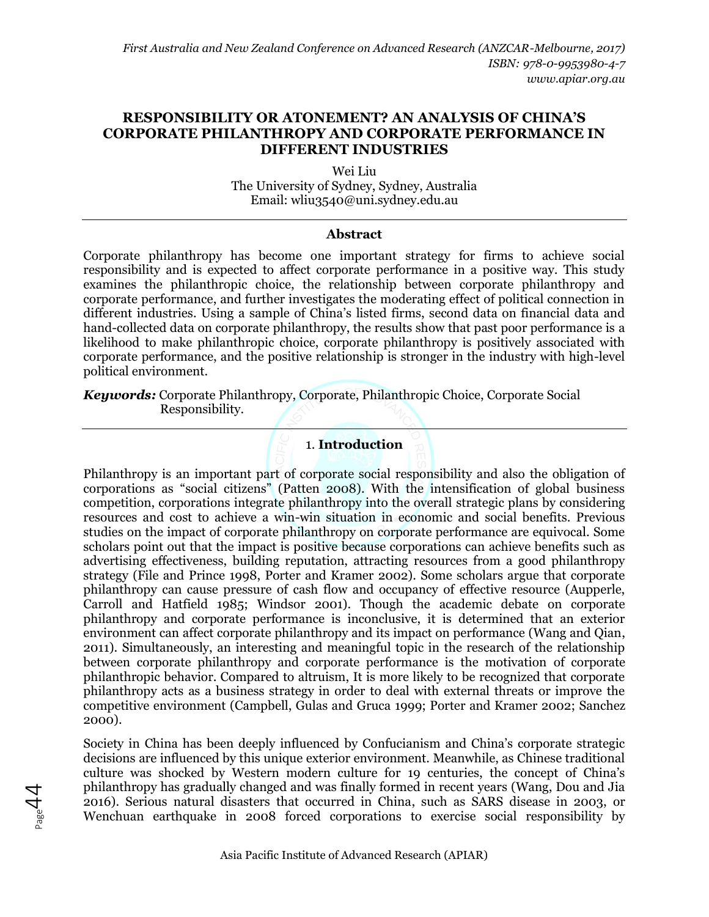# **RESPONSIBILITY OR ATONEMENT? AN ANALYSIS OF CHINA'S CORPORATE PHILANTHROPY AND CORPORATE PERFORMANCE IN DIFFERENT INDUSTRIES**

Wei Liu The University of Sydney, Sydney, Australia Email: [wliu3540@uni.sydney.edu.au](mailto:email@email.com)

#### **Abstract**

Corporate philanthropy has become one important strategy for firms to achieve social responsibility and is expected to affect corporate performance in a positive way. This study examines the philanthropic choice, the relationship between corporate philanthropy and corporate performance, and further investigates the moderating effect of political connection in different industries. Using a sample of China's listed firms, second data on financial data and hand-collected data on corporate philanthropy, the results show that past poor performance is a likelihood to make philanthropic choice, corporate philanthropy is positively associated with corporate performance, and the positive relationship is stronger in the industry with high-level political environment.

*Keywords:* Corporate Philanthropy, Corporate, Philanthropic Choice, Corporate Social Responsibility.

# 1. **Introduction**

Philanthropy is an important part of corporate social responsibility and also the obligation of corporations as "social citizens" (Patten 2008). With the intensification of global business competition, corporations integrate philanthropy into the overall strategic plans by considering resources and cost to achieve a win-win situation in economic and social benefits. Previous studies on the impact of corporate philanthropy on corporate performance are equivocal. Some scholars point out that the impact is positive because corporations can achieve benefits such as advertising effectiveness, building reputation, attracting resources from a good philanthropy strategy (File and Prince 1998, Porter and Kramer 2002). Some scholars argue that corporate philanthropy can cause pressure of cash flow and occupancy of effective resource (Aupperle, Carroll and Hatfield 1985; Windsor 2001). Though the academic debate on corporate philanthropy and corporate performance is inconclusive, it is determined that an exterior environment can affect corporate philanthropy and its impact on performance (Wang and Qian, 2011). Simultaneously, an interesting and meaningful topic in the research of the relationship between corporate philanthropy and corporate performance is the motivation of corporate philanthropic behavior. Compared to altruism, It is more likely to be recognized that corporate philanthropy acts as a business strategy in order to deal with external threats or improve the competitive environment (Campbell, Gulas and Gruca 1999; Porter and Kramer 2002; Sanchez 2000).

Society in China has been deeply influenced by Confucianism and China's corporate strategic decisions are influenced by this unique exterior environment. Meanwhile, as Chinese traditional culture was shocked by Western modern culture for 19 centuries, the concept of China's philanthropy has gradually changed and was finally formed in recent years (Wang, Dou and Jia 2016). Serious natural disasters that occurred in China, such as SARS disease in 2003, or Wenchuan earthquake in 2008 forced corporations to exercise social responsibility by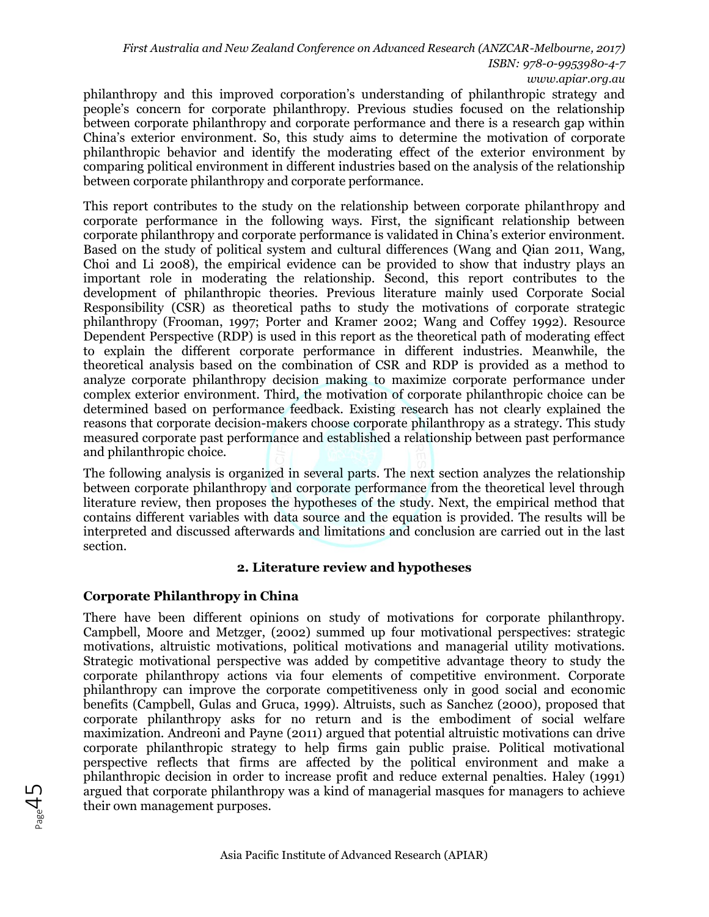*First Australia and New Zealand Conference on Advanced Research (ANZCAR-Melbourne, 2017) ISBN: 978-0-9953980-4-7 www.apiar.org.au* 

philanthropy and this improved corporation's understanding of philanthropic strategy and people's concern for corporate philanthropy. Previous studies focused on the relationship between corporate philanthropy and corporate performance and there is a research gap within China's exterior environment. So, this study aims to determine the motivation of corporate philanthropic behavior and identify the moderating effect of the exterior environment by comparing political environment in different industries based on the analysis of the relationship between corporate philanthropy and corporate performance.

This report contributes to the study on the relationship between corporate philanthropy and corporate performance in the following ways. First, the significant relationship between corporate philanthropy and corporate performance is validated in China's exterior environment. Based on the study of political system and cultural differences (Wang and Qian 2011, Wang, Choi and Li 2008), the empirical evidence can be provided to show that industry plays an important role in moderating the relationship. Second, this report contributes to the development of philanthropic theories. Previous literature mainly used Corporate Social Responsibility (CSR) as theoretical paths to study the motivations of corporate strategic philanthropy (Frooman, 1997; Porter and Kramer 2002; Wang and Coffey 1992). Resource Dependent Perspective (RDP) is used in this report as the theoretical path of moderating effect to explain the different corporate performance in different industries. Meanwhile, the theoretical analysis based on the combination of CSR and RDP is provided as a method to analyze corporate philanthropy decision making to maximize corporate performance under complex exterior environment. Third, the motivation of corporate philanthropic choice can be determined based on performance feedback. Existing research has not clearly explained the reasons that corporate decision-makers choose corporate philanthropy as a strategy. This study measured corporate past performance and established a relationship between past performance and philanthropic choice.

The following analysis is organized in several parts. The next section analyzes the relationship between corporate philanthropy and corporate performance from the theoretical level through literature review, then proposes the hypotheses of the study. Next, the empirical method that contains different variables with data source and the equation is provided. The results will be interpreted and discussed afterwards and limitations and conclusion are carried out in the last section.

### **2. Literature review and hypotheses**

# **Corporate Philanthropy in China**

There have been different opinions on study of motivations for corporate philanthropy. Campbell, Moore and Metzger, (2002) summed up four motivational perspectives: strategic motivations, altruistic motivations, political motivations and managerial utility motivations. Strategic motivational perspective was added by competitive advantage theory to study the corporate philanthropy actions via four elements of competitive environment. Corporate philanthropy can improve the corporate competitiveness only in good social and economic benefits (Campbell, Gulas and Gruca, 1999). Altruists, such as Sanchez (2000), proposed that corporate philanthropy asks for no return and is the embodiment of social welfare maximization. Andreoni and Payne (2011) argued that potential altruistic motivations can drive corporate philanthropic strategy to help firms gain public praise. Political motivational perspective reflects that firms are affected by the political environment and make a philanthropic decision in order to increase profit and reduce external penalties. Haley (1991) argued that corporate philanthropy was a kind of managerial masques for managers to achieve their own management purposes.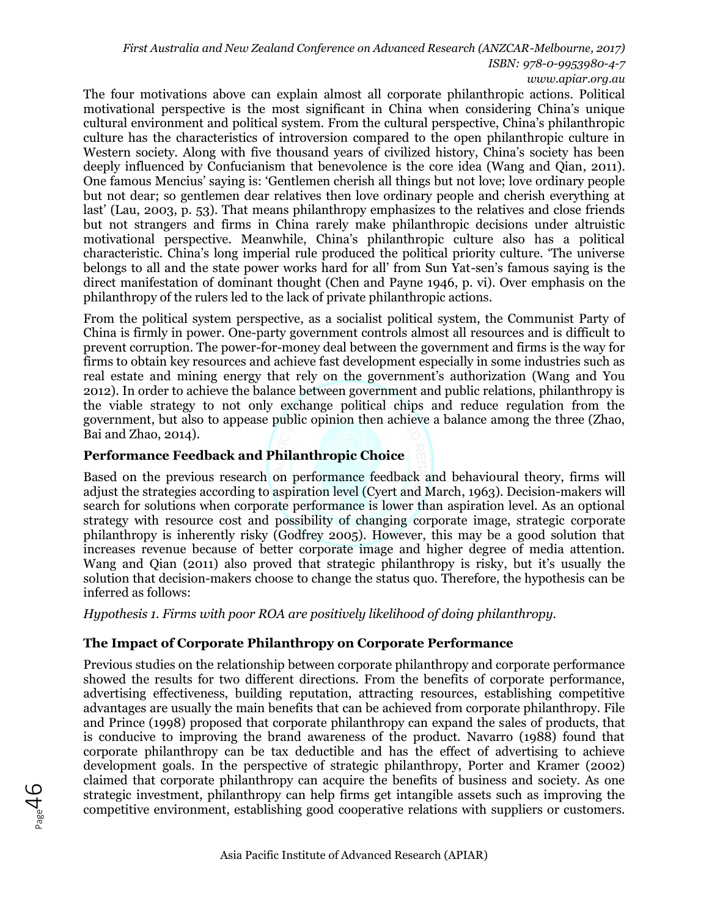*First Australia and New Zealand Conference on Advanced Research (ANZCAR-Melbourne, 2017)*

*ISBN: 978-0-9953980-4-7*

*www.apiar.org.au* 

The four motivations above can explain almost all corporate philanthropic actions. Political motivational perspective is the most significant in China when considering China's unique cultural environment and political system. From the cultural perspective, China's philanthropic culture has the characteristics of introversion compared to the open philanthropic culture in Western society. Along with five thousand years of civilized history, China's society has been deeply influenced by Confucianism that benevolence is the core idea (Wang and Qian, 2011). One famous Mencius' saying is: 'Gentlemen cherish all things but not love; love ordinary people but not dear; so gentlemen dear relatives then love ordinary people and cherish everything at last' (Lau, 2003, p. 53). That means philanthropy emphasizes to the relatives and close friends but not strangers and firms in China rarely make philanthropic decisions under altruistic motivational perspective. Meanwhile, China's philanthropic culture also has a political characteristic. China's long imperial rule produced the political priority culture. 'The universe belongs to all and the state power works hard for all' from Sun Yat-sen's famous saying is the direct manifestation of dominant thought (Chen and Payne 1946, p. vi). Over emphasis on the philanthropy of the rulers led to the lack of private philanthropic actions.

From the political system perspective, as a socialist political system, the Communist Party of China is firmly in power. One-party government controls almost all resources and is difficult to prevent corruption. The power-for-money deal between the government and firms is the way for firms to obtain key resources and achieve fast development especially in some industries such as real estate and mining energy that rely on the government's authorization (Wang and You 2012). In order to achieve the balance between government and public relations, philanthropy is the viable strategy to not only exchange political chips and reduce regulation from the government, but also to appease public opinion then achieve a balance among the three (Zhao, Bai and Zhao, 2014).

# **Performance Feedback and Philanthropic Choice**

Based on the previous research on performance feedback and behavioural theory, firms will adjust the strategies according to aspiration level (Cyert and March, 1963). Decision-makers will search for solutions when corporate performance is lower than aspiration level. As an optional strategy with resource cost and possibility of changing corporate image, strategic corporate philanthropy is inherently risky (Godfrey 2005). However, this may be a good solution that increases revenue because of better corporate image and higher degree of media attention. Wang and Qian (2011) also proved that strategic philanthropy is risky, but it's usually the solution that decision-makers choose to change the status quo. Therefore, the hypothesis can be inferred as follows:

*Hypothesis 1. Firms with poor ROA are positively likelihood of doing philanthropy.* 

# **The Impact of Corporate Philanthropy on Corporate Performance**

Previous studies on the relationship between corporate philanthropy and corporate performance showed the results for two different directions. From the benefits of corporate performance, advertising effectiveness, building reputation, attracting resources, establishing competitive advantages are usually the main benefits that can be achieved from corporate philanthropy. File and Prince (1998) proposed that corporate philanthropy can expand the sales of products, that is conducive to improving the brand awareness of the product. Navarro (1988) found that corporate philanthropy can be tax deductible and has the effect of advertising to achieve development goals. In the perspective of strategic philanthropy, Porter and Kramer (2002) claimed that corporate philanthropy can acquire the benefits of business and society. As one strategic investment, philanthropy can help firms get intangible assets such as improving the competitive environment, establishing good cooperative relations with suppliers or customers.

 $\rm 46$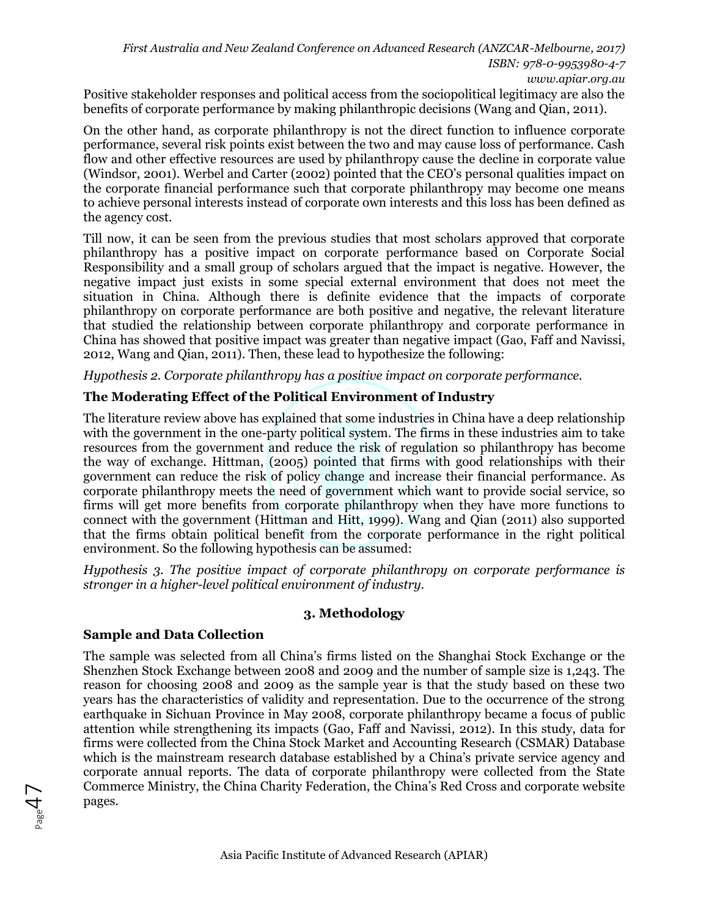*First Australia and New Zealand Conference on Advanced Research (ANZCAR-Melbourne, 2017) ISBN: 978-0-9953980-4-7 www.apiar.org.au* 

Positive stakeholder responses and political access from the sociopolitical legitimacy are also the benefits of corporate performance by making philanthropic decisions (Wang and Qian, 2011).

On the other hand, as corporate philanthropy is not the direct function to influence corporate performance, several risk points exist between the two and may cause loss of performance. Cash flow and other effective resources are used by philanthropy cause the decline in corporate value (Windsor, 2001). Werbel and Carter (2002) pointed that the CEO's personal qualities impact on the corporate financial performance such that corporate philanthropy may become one means to achieve personal interests instead of corporate own interests and this loss has been defined as the agency cost.

Till now, it can be seen from the previous studies that most scholars approved that corporate philanthropy has a positive impact on corporate performance based on Corporate Social Responsibility and a small group of scholars argued that the impact is negative. However, the negative impact just exists in some special external environment that does not meet the situation in China. Although there is definite evidence that the impacts of corporate philanthropy on corporate performance are both positive and negative, the relevant literature that studied the relationship between corporate philanthropy and corporate performance in China has showed that positive impact was greater than negative impact (Gao, Faff and Navissi, 2012, Wang and Qian, 2011). Then, these lead to hypothesize the following:

*Hypothesis 2. Corporate philanthropy has a positive impact on corporate performance.*

#### **The Moderating Effect of the Political Environment of Industry**

The literature review above has explained that some industries in China have a deep relationship with the government in the one-party political system. The firms in these industries aim to take resources from the government and reduce the risk of regulation so philanthropy has become the way of exchange. Hittman, (2005) pointed that firms with good relationships with their government can reduce the risk of policy change and increase their financial performance. As corporate philanthropy meets the need of government which want to provide social service, so firms will get more benefits from corporate philanthropy when they have more functions to connect with the government (Hittman and Hitt, 1999). Wang and Qian (2011) also supported that the firms obtain political benefit from the corporate performance in the right political environment. So the following hypothesis can be assumed:

*Hypothesis 3. The positive impact of corporate philanthropy on corporate performance is stronger in a higher-level political environment of industry.*

### **3. Methodology**

### **Sample and Data Collection**

 $7P_{\rm age}$ 47

The sample was selected from all China's firms listed on the Shanghai Stock Exchange or the Shenzhen Stock Exchange between 2008 and 2009 and the number of sample size is 1,243. The reason for choosing 2008 and 2009 as the sample year is that the study based on these two years has the characteristics of validity and representation. Due to the occurrence of the strong earthquake in Sichuan Province in May 2008, corporate philanthropy became a focus of public attention while strengthening its impacts (Gao, Faff and Navissi, 2012). In this study, data for firms were collected from the China Stock Market and Accounting Research (CSMAR) Database which is the mainstream research database established by a China's private service agency and corporate annual reports. The data of corporate philanthropy were collected from the State Commerce Ministry, the China Charity Federation, the China's Red Cross and corporate website pages.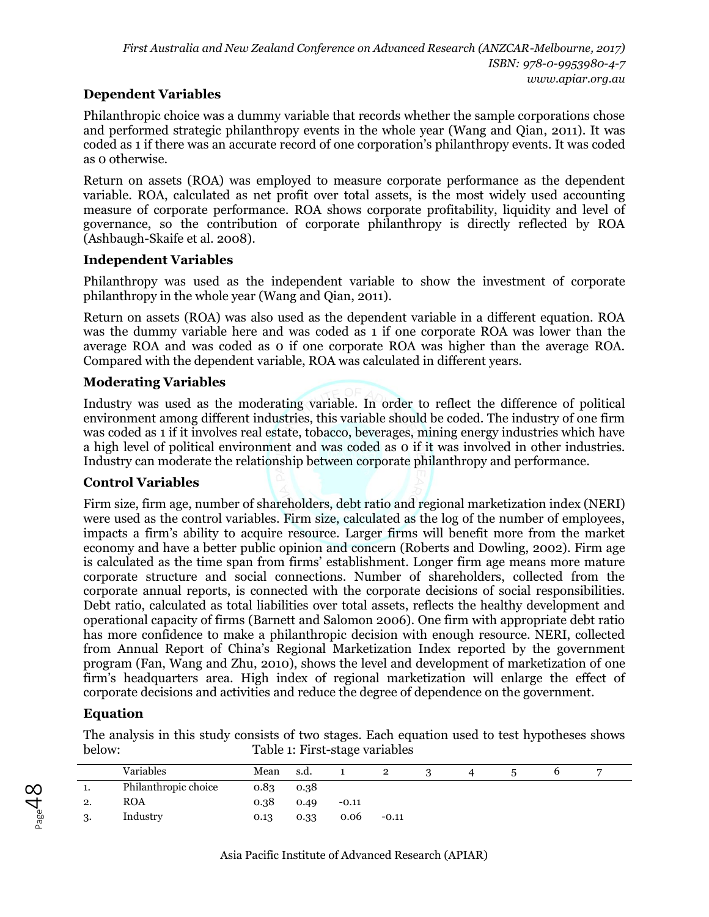# **Dependent Variables**

Philanthropic choice was a dummy variable that records whether the sample corporations chose and performed strategic philanthropy events in the whole year (Wang and Qian, 2011). It was coded as 1 if there was an accurate record of one corporation's philanthropy events. It was coded as 0 otherwise.

Return on assets (ROA) was employed to measure corporate performance as the dependent variable. ROA, calculated as net profit over total assets, is the most widely used accounting measure of corporate performance. ROA shows corporate profitability, liquidity and level of governance, so the contribution of corporate philanthropy is directly reflected by ROA (Ashbaugh-Skaife et al. 2008).

## **Independent Variables**

Philanthropy was used as the independent variable to show the investment of corporate philanthropy in the whole year (Wang and Qian, 2011).

Return on assets (ROA) was also used as the dependent variable in a different equation. ROA was the dummy variable here and was coded as 1 if one corporate ROA was lower than the average ROA and was coded as 0 if one corporate ROA was higher than the average ROA. Compared with the dependent variable, ROA was calculated in different years.

## **Moderating Variables**

Industry was used as the moderating variable. In order to reflect the difference of political environment among different industries, this variable should be coded. The industry of one firm was coded as 1 if it involves real estate, tobacco, beverages, mining energy industries which have a high level of political environment and was coded as 0 if it was involved in other industries. Industry can moderate the relationship between corporate philanthropy and performance.

### **Control Variables**

Firm size, firm age, number of shareholders, debt ratio and regional marketization index (NERI) were used as the control variables. Firm size, calculated as the log of the number of employees, impacts a firm's ability to acquire resource. Larger firms will benefit more from the market economy and have a better public opinion and concern (Roberts and Dowling, 2002). Firm age is calculated as the time span from firms' establishment. Longer firm age means more mature corporate structure and social connections. Number of shareholders, collected from the corporate annual reports, is connected with the corporate decisions of social responsibilities. Debt ratio, calculated as total liabilities over total assets, reflects the healthy development and operational capacity of firms (Barnett and Salomon 2006). One firm with appropriate debt ratio has more confidence to make a philanthropic decision with enough resource. NERI, collected from Annual Report of China's Regional Marketization Index reported by the government program (Fan, Wang and Zhu, 2010), shows the level and development of marketization of one firm's headquarters area. High index of regional marketization will enlarge the effect of corporate decisions and activities and reduce the degree of dependence on the government.

# **Equation**

 $\beta_{\text{age}}$ 48

The analysis in this study consists of two stages. Each equation used to test hypotheses shows below: Table 1: First-stage variables

|    | Variables            | Mean | s.d. |         | 2       |  |  |  |
|----|----------------------|------|------|---------|---------|--|--|--|
| ı. | Philanthropic choice | 0.83 | 0.38 |         |         |  |  |  |
| 2. | <b>ROA</b>           | 0.38 | 0.49 | $-0.11$ |         |  |  |  |
|    | Industry             | 0.13 | 0.33 | 0.06    | $-0.11$ |  |  |  |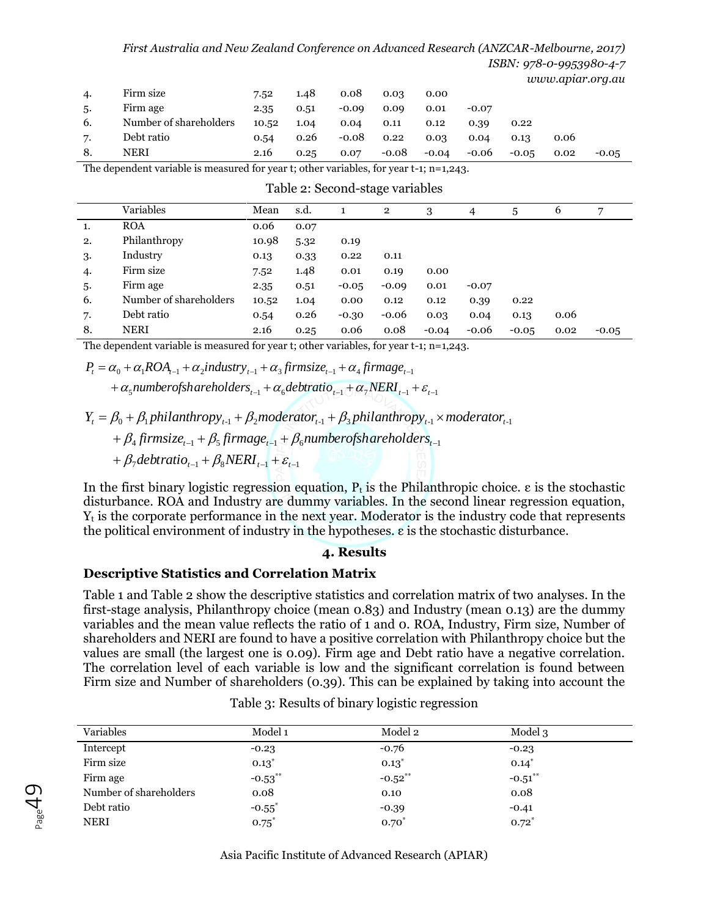#### *First Australia and New Zealand Conference on Advanced Research (ANZCAR-Melbourne, 2017) ISBN: 978-0-9953980-4-7*

*www.apiar.org.au* 

| 4.  | Firm size              | 7.52  | 1.48 | 0.08    | 0.03    | 0.00    |         |         |      | $\tilde{\phantom{a}}$ |
|-----|------------------------|-------|------|---------|---------|---------|---------|---------|------|-----------------------|
| .5. | Firm age               | 2.35  | 0.51 | $-0.09$ | 0.09    | 0.01    | $-0.07$ |         |      |                       |
| 6.  | Number of shareholders | 10.52 | 1.04 | 0.04    | 0.11    | 0.12    | 0.39    | 0.22    |      |                       |
| 7.  | Debt ratio             | 0.54  | 0.26 | $-0.08$ | 0.22    | 0.03    | 0.04    | 0.13    | 0.06 |                       |
| 8.  | NERI                   | 2.16  | 0.25 | 0.07    | $-0.08$ | $-0.04$ | $-0.06$ | $-0.05$ | 0.02 | $-0.05$               |

The dependent variable is measured for year t; other variables, for year t-1; n=1,243.

|    | Variables              | Mean  | s.d. |         | $\mathbf{2}$ | 3       | $\overline{4}$ | 5       | 6    | 7       |
|----|------------------------|-------|------|---------|--------------|---------|----------------|---------|------|---------|
| 1. | <b>ROA</b>             | 0.06  | 0.07 |         |              |         |                |         |      |         |
| 2. | Philanthropy           | 10.98 | 5.32 | 0.19    |              |         |                |         |      |         |
| 3. | Industry               | 0.13  | 0.33 | 0.22    | 0.11         |         |                |         |      |         |
| 4. | Firm size              | 7.52  | 1.48 | 0.01    | 0.19         | 0.00    |                |         |      |         |
| 5. | Firm age               | 2.35  | 0.51 | $-0.05$ | $-0.09$      | 0.01    | $-0.07$        |         |      |         |
| 6. | Number of shareholders | 10.52 | 1.04 | 0.00    | 0.12         | 0.12    | 0.39           | 0.22    |      |         |
| 7. | Debt ratio             | 0.54  | 0.26 | $-0.30$ | $-0.06$      | 0.03    | 0.04           | 0.13    | 0.06 |         |
| 8. | NERI                   | 2.16  | 0.25 | 0.06    | 0.08         | $-0.04$ | $-0.06$        | $-0.05$ | 0.02 | $-0.05$ |

The dependent variable is measured for year t; other variables, for year t-1; n=1,243.

$$
P_{t} = \alpha_{0} + \alpha_{1}ROA_{t-1} + \alpha_{2} industry_{t-1} + \alpha_{3} firmsize_{t-1} + \alpha_{4} firmsize_{t-1}
$$

+
$$
\alpha_5
$$
numberofshareholders<sub>t-1</sub> + $\alpha_6$ debratio<sub>t-1</sub> + $\alpha_7$ NERI<sub>t-1</sub> +  $\varepsilon_{t-1}$ 

 $Y_t = \beta_0 + \beta_1$ philanthropy<sub>t-1</sub> +  $\beta_2$ moderator<sub>t-1</sub> +  $\beta_3$ philanthropy<sub>t-1</sub> × moderator<sub>t-1</sub>

 $+ \beta_4$  firmsize<sub>t-1</sub> +  $\beta_5$  firmage<sub>t-1</sub> +  $\beta_6$  number of shareholders<sub>t-1</sub>

 $+\beta_7$  debtratio<sub>t-1</sub></sub> +  $\beta_8$  NERI<sub>t-1</sub> +  $\varepsilon_{t-1}$ 

 $P_{\tiny \texttt{age}}$ 49

In the first binary logistic regression equation,  $P_t$  is the Philanthropic choice.  $\varepsilon$  is the stochastic disturbance. ROA and Industry are dummy variables. In the second linear regression equation,  $Y_t$  is the corporate performance in the next year. Moderator is the industry code that represents the political environment of industry in the hypotheses. ε is the stochastic disturbance.

#### **4. Results**

### **Descriptive Statistics and Correlation Matrix**

Table 1 and Table 2 show the descriptive statistics and correlation matrix of two analyses. In the first-stage analysis, Philanthropy choice (mean 0.83) and Industry (mean 0.13) are the dummy variables and the mean value reflects the ratio of 1 and 0. ROA, Industry, Firm size, Number of shareholders and NERI are found to have a positive correlation with Philanthropy choice but the values are small (the largest one is 0.09). Firm age and Debt ratio have a negative correlation. The correlation level of each variable is low and the significant correlation is found between Firm size and Number of shareholders (0.39). This can be explained by taking into account the

| Variables              | Model 1              | Model 2    | Model 3    |  |
|------------------------|----------------------|------------|------------|--|
| Intercept              | $-0.23$              | $-0.76$    | $-0.23$    |  |
| Firm size              | $0.13*$              | $0.13*$    | $0.14*$    |  |
| Firm age               | $-0.53***$           | $-0.52***$ | $-0.51***$ |  |
| Number of shareholders | 0.08                 | 0.10       | 0.08       |  |
| Debt ratio             | $-0.55$ <sup>*</sup> | $-0.39$    | $-0.41$    |  |
| <b>NERI</b>            | $0.75^*$             | $0.70*$    | $0.72^{*}$ |  |

Table 3: Results of binary logistic regression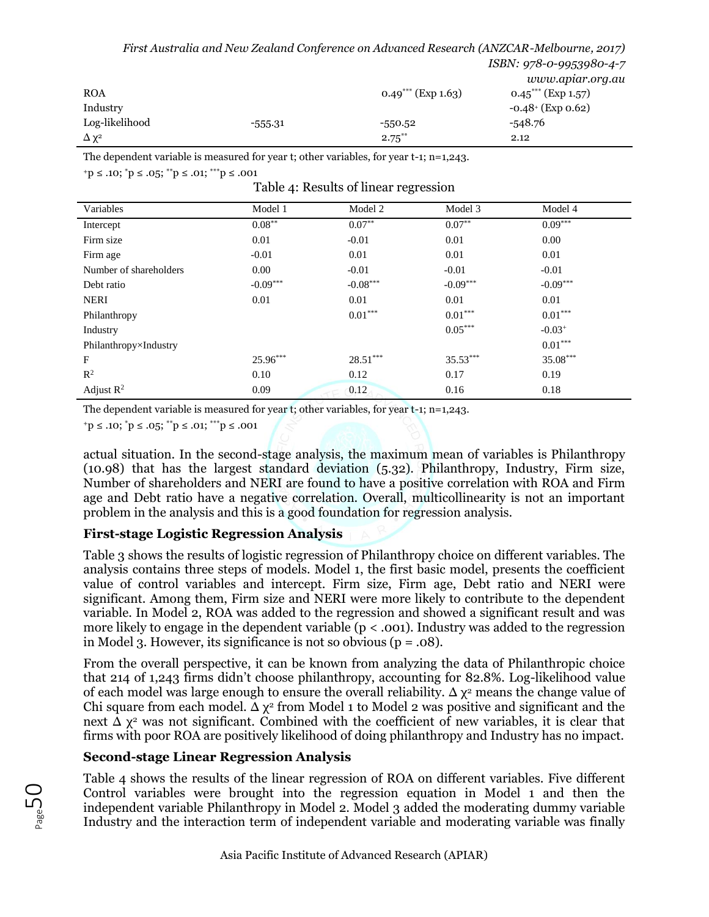*First Australia and New Zealand Conference on Advanced Research (ANZCAR-Melbourne, 2017)*

|                  |           |                      | www.apiar.org.au                 |
|------------------|-----------|----------------------|----------------------------------|
| <b>ROA</b>       |           | $0.49***$ (Exp 1.63) | $0.45$ <sup>***</sup> (Exp 1.57) |
| Industry         |           |                      | $-0.48 \cdot$ (Exp 0.62)         |
| Log-likelihood   | $-555.31$ | $-550.52$            | $-548.76$                        |
| $\Delta\,\chi^2$ |           | $2.75***$            | 2.12                             |

The dependent variable is measured for year t; other variables, for year t-1; n=1,243.

 $+p \leq .10$ ;  $^*p \leq .05$ ;  $^{**}p \leq .01$ ;  $^{***}p \leq .001$ 

|  |  | Table 4: Results of linear regression |
|--|--|---------------------------------------|
|  |  |                                       |

| Variables              | Model 1    | Model 2    | Model 3    | Model 4    |
|------------------------|------------|------------|------------|------------|
| Intercept              | $0.08***$  | $0.07**$   | $0.07**$   | $0.09***$  |
| Firm size              | 0.01       | $-0.01$    | 0.01       | 0.00       |
| Firm age               | $-0.01$    | 0.01       | 0.01       | 0.01       |
| Number of shareholders | 0.00       | $-0.01$    | $-0.01$    | $-0.01$    |
| Debt ratio             | $-0.09***$ | $-0.08***$ | $-0.09***$ | $-0.09***$ |
| <b>NERI</b>            | 0.01       | 0.01       | 0.01       | 0.01       |
| Philanthropy           |            | $0.01***$  | $0.01***$  | $0.01***$  |
| Industry               |            |            | $0.05***$  | $-0.03+$   |
| Philanthropy×Industry  |            |            |            | $0.01***$  |
| F                      | 25.96***   | $28.51***$ | $35.53***$ | 35.08***   |
| $R^2$                  | 0.10       | 0.12       | 0.17       | 0.19       |
| Adjust $R^2$           | 0.09       | 0.12       | 0.16       | 0.18       |

The dependent variable is measured for year t; other variables, for year t-1; n=1,243.

 $+p \leq .10$ ;  $^*p \leq .05$ ;  $^{**}p \leq .01$ ;  $^{***}p \leq .001$ 

actual situation. In the second-stage analysis, the maximum mean of variables is Philanthropy (10.98) that has the largest standard deviation (5.32). Philanthropy, Industry, Firm size, Number of shareholders and NERI are found to have a positive correlation with ROA and Firm age and Debt ratio have a negative correlation. Overall, multicollinearity is not an important problem in the analysis and this is a good foundation for regression analysis.

# **First-stage Logistic Regression Analysis**

Table 3 shows the results of logistic regression of Philanthropy choice on different variables. The analysis contains three steps of models. Model 1, the first basic model, presents the coefficient value of control variables and intercept. Firm size, Firm age, Debt ratio and NERI were significant. Among them, Firm size and NERI were more likely to contribute to the dependent variable. In Model 2, ROA was added to the regression and showed a significant result and was more likely to engage in the dependent variable  $(p < .001)$ . Industry was added to the regression in Model 3. However, its significance is not so obvious ( $p = .08$ ).

From the overall perspective, it can be known from analyzing the data of Philanthropic choice that 214 of 1,243 firms didn't choose philanthropy, accounting for 82.8%. Log-likelihood value of each model was large enough to ensure the overall reliability.  $\Delta \chi^2$  means the change value of Chi square from each model.  $\Delta \chi^2$  from Model 1 to Model 2 was positive and significant and the next  $\Delta$  χ<sup>2</sup> was not significant. Combined with the coefficient of new variables, it is clear that firms with poor ROA are positively likelihood of doing philanthropy and Industry has no impact.

# **Second-stage Linear Regression Analysis**

Table 4 shows the results of the linear regression of ROA on different variables. Five different Control variables were brought into the regression equation in Model 1 and then the independent variable Philanthropy in Model 2. Model 3 added the moderating dummy variable Industry and the interaction term of independent variable and moderating variable was finally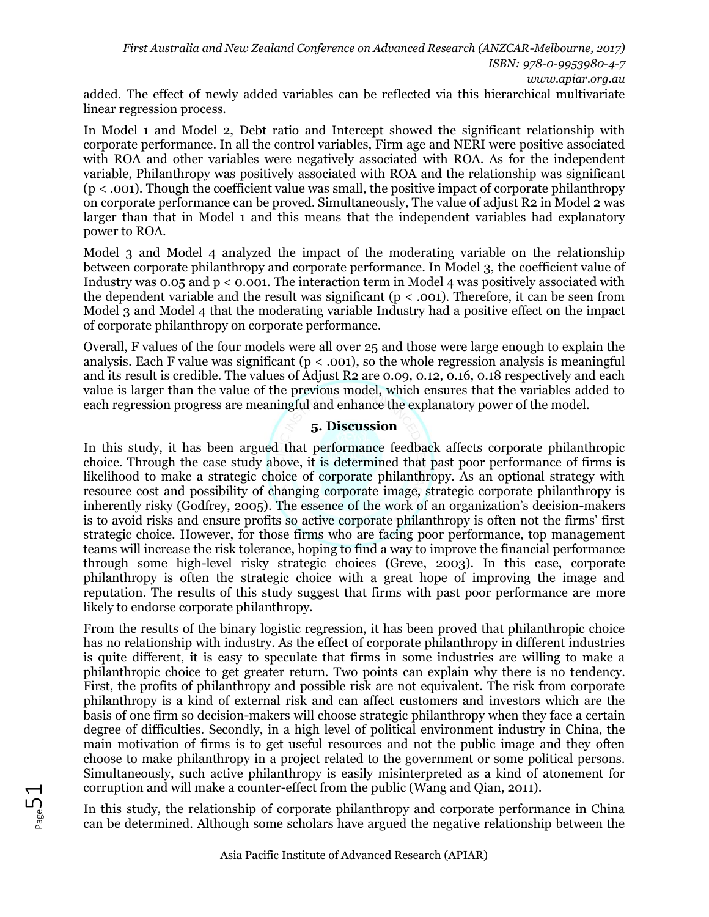added. The effect of newly added variables can be reflected via this hierarchical multivariate linear regression process.

In Model 1 and Model 2, Debt ratio and Intercept showed the significant relationship with corporate performance. In all the control variables, Firm age and NERI were positive associated with ROA and other variables were negatively associated with ROA. As for the independent variable, Philanthropy was positively associated with ROA and the relationship was significant  $(p < .001)$ . Though the coefficient value was small, the positive impact of corporate philanthropy on corporate performance can be proved. Simultaneously, The value of adjust R2 in Model 2 was larger than that in Model 1 and this means that the independent variables had explanatory power to ROA.

Model 3 and Model 4 analyzed the impact of the moderating variable on the relationship between corporate philanthropy and corporate performance. In Model 3, the coefficient value of Industry was 0.05 and  $p < 0.001$ . The interaction term in Model 4 was positively associated with the dependent variable and the result was significant ( $p < .001$ ). Therefore, it can be seen from Model 3 and Model 4 that the moderating variable Industry had a positive effect on the impact of corporate philanthropy on corporate performance.

Overall, F values of the four models were all over 25 and those were large enough to explain the analysis. Each F value was significant ( $p < .001$ ), so the whole regression analysis is meaningful and its result is credible. The values of Adjust R2 are 0.09, 0.12, 0.16, 0.18 respectively and each value is larger than the value of the previous model, which ensures that the variables added to each regression progress are meaningful and enhance the explanatory power of the model.

# **5. Discussion**

In this study, it has been argued that performance feedback affects corporate philanthropic choice. Through the case study above, it is determined that past poor performance of firms is likelihood to make a strategic choice of corporate philanthropy. As an optional strategy with resource cost and possibility of changing corporate image, strategic corporate philanthropy is inherently risky (Godfrey, 2005). The essence of the work of an organization's decision-makers is to avoid risks and ensure profits so active corporate philanthropy is often not the firms' first strategic choice. However, for those firms who are facing poor performance, top management teams will increase the risk tolerance, hoping to find a way to improve the financial performance through some high-level risky strategic choices (Greve, 2003). In this case, corporate philanthropy is often the strategic choice with a great hope of improving the image and reputation. The results of this study suggest that firms with past poor performance are more likely to endorse corporate philanthropy.

From the results of the binary logistic regression, it has been proved that philanthropic choice has no relationship with industry. As the effect of corporate philanthropy in different industries is quite different, it is easy to speculate that firms in some industries are willing to make a philanthropic choice to get greater return. Two points can explain why there is no tendency. First, the profits of philanthropy and possible risk are not equivalent. The risk from corporate philanthropy is a kind of external risk and can affect customers and investors which are the basis of one firm so decision-makers will choose strategic philanthropy when they face a certain degree of difficulties. Secondly, in a high level of political environment industry in China, the main motivation of firms is to get useful resources and not the public image and they often choose to make philanthropy in a project related to the government or some political persons. Simultaneously, such active philanthropy is easily misinterpreted as a kind of atonement for corruption and will make a counter-effect from the public (Wang and Qian, 2011).

In this study, the relationship of corporate philanthropy and corporate performance in China can be determined. Although some scholars have argued the negative relationship between the

 $_{\tiny{\text{Page}}}$ 51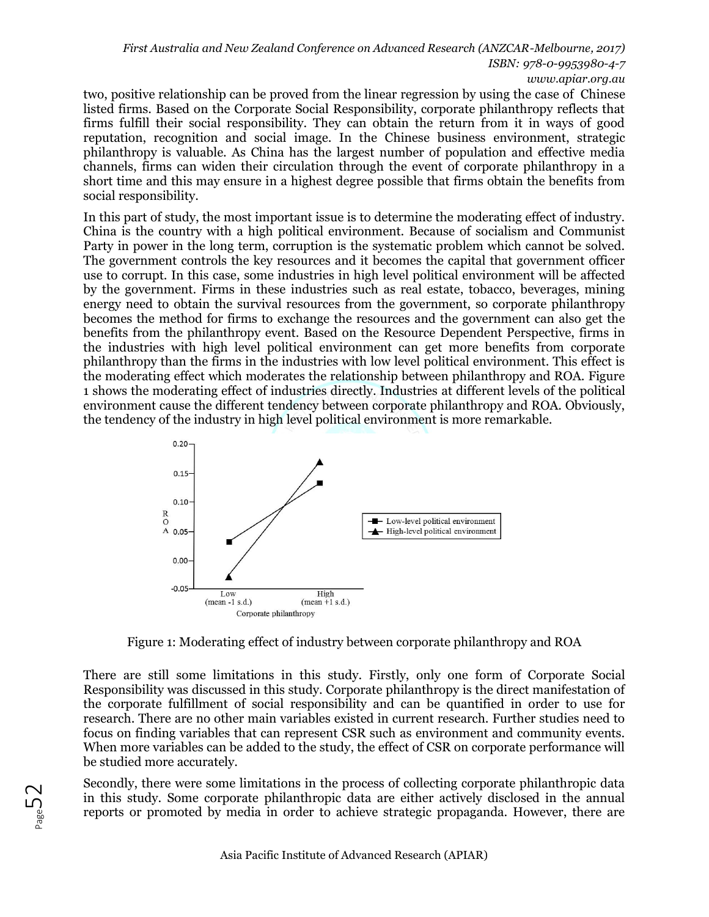*First Australia and New Zealand Conference on Advanced Research (ANZCAR-Melbourne, 2017) ISBN: 978-0-9953980-4-7 www.apiar.org.au* 

two, positive relationship can be proved from the linear regression by using the case of Chinese listed firms. Based on the Corporate Social Responsibility, corporate philanthropy reflects that firms fulfill their social responsibility. They can obtain the return from it in ways of good reputation, recognition and social image. In the Chinese business environment, strategic philanthropy is valuable. As China has the largest number of population and effective media channels, firms can widen their circulation through the event of corporate philanthropy in a short time and this may ensure in a highest degree possible that firms obtain the benefits from social responsibility.

In this part of study, the most important issue is to determine the moderating effect of industry. China is the country with a high political environment. Because of socialism and Communist Party in power in the long term, corruption is the systematic problem which cannot be solved. The government controls the key resources and it becomes the capital that government officer use to corrupt. In this case, some industries in high level political environment will be affected by the government. Firms in these industries such as real estate, tobacco, beverages, mining energy need to obtain the survival resources from the government, so corporate philanthropy becomes the method for firms to exchange the resources and the government can also get the benefits from the philanthropy event. Based on the Resource Dependent Perspective, firms in the industries with high level political environment can get more benefits from corporate philanthropy than the firms in the industries with low level political environment. This effect is the moderating effect which moderates the relationship between philanthropy and ROA. Figure 1 shows the moderating effect of industries directly. Industries at different levels of the political environment cause the different tendency between corporate philanthropy and ROA. Obviously, the tendency of the industry in high level political environment is more remarkable.



Figure 1: Moderating effect of industry between corporate philanthropy and ROA

There are still some limitations in this study. Firstly, only one form of Corporate Social Responsibility was discussed in this study. Corporate philanthropy is the direct manifestation of the corporate fulfillment of social responsibility and can be quantified in order to use for research. There are no other main variables existed in current research. Further studies need to focus on finding variables that can represent CSR such as environment and community events. When more variables can be added to the study, the effect of CSR on corporate performance will be studied more accurately.

Secondly, there were some limitations in the process of collecting corporate philanthropic data in this study. Some corporate philanthropic data are either actively disclosed in the annual reports or promoted by media in order to achieve strategic propaganda. However, there are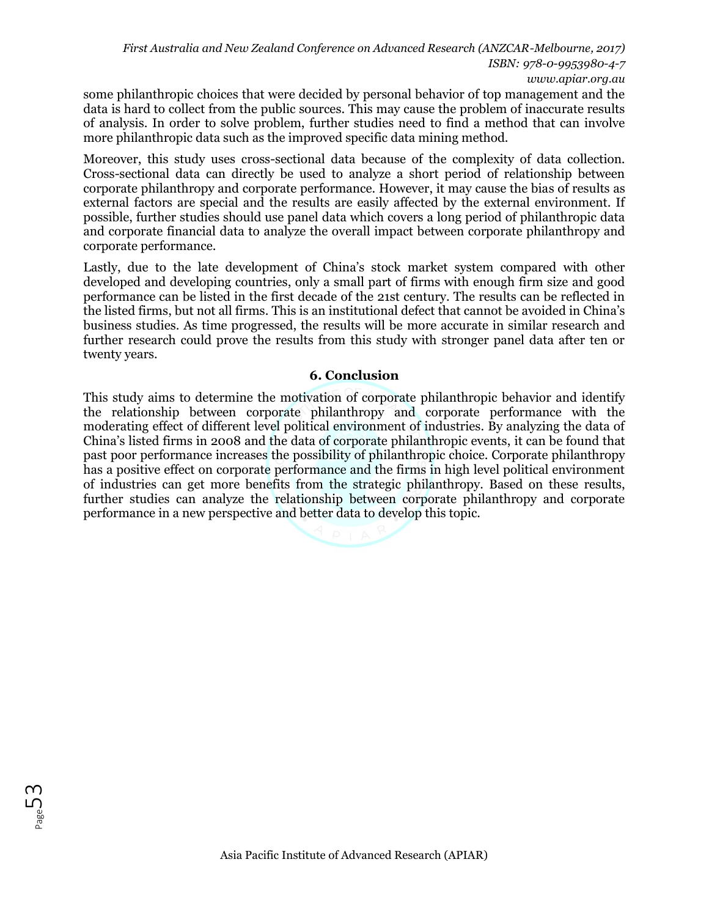some philanthropic choices that were decided by personal behavior of top management and the data is hard to collect from the public sources. This may cause the problem of inaccurate results of analysis. In order to solve problem, further studies need to find a method that can involve more philanthropic data such as the improved specific data mining method.

Moreover, this study uses cross-sectional data because of the complexity of data collection. Cross-sectional data can directly be used to analyze a short period of relationship between corporate philanthropy and corporate performance. However, it may cause the bias of results as external factors are special and the results are easily affected by the external environment. If possible, further studies should use panel data which covers a long period of philanthropic data and corporate financial data to analyze the overall impact between corporate philanthropy and corporate performance.

Lastly, due to the late development of China's stock market system compared with other developed and developing countries, only a small part of firms with enough firm size and good performance can be listed in the first decade of the 21st century. The results can be reflected in the listed firms, but not all firms. This is an institutional defect that cannot be avoided in China's business studies. As time progressed, the results will be more accurate in similar research and further research could prove the results from this study with stronger panel data after ten or twenty years.

### **6. Conclusion**

This study aims to determine the motivation of corporate philanthropic behavior and identify the relationship between corporate philanthropy and corporate performance with the moderating effect of different level political environment of industries. By analyzing the data of China's listed firms in 2008 and the data of corporate philanthropic events, it can be found that past poor performance increases the possibility of philanthropic choice. Corporate philanthropy has a positive effect on corporate performance and the firms in high level political environment of industries can get more benefits from the strategic philanthropy. Based on these results, further studies can analyze the relationship between corporate philanthropy and corporate performance in a new perspective and better data to develop this topic.



Page53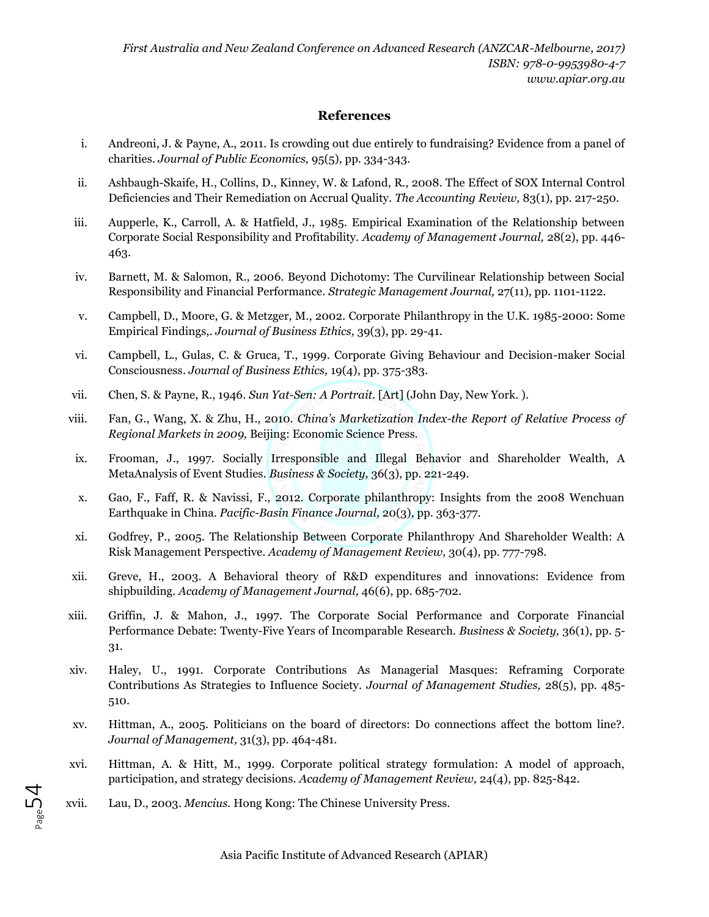### **References**

- i. Andreoni, J. & Payne, A., 2011. Is crowding out due entirely to fundraising? Evidence from a panel of charities. *Journal of Public Economics,* 95(5), pp. 334-343.
- ii. Ashbaugh-Skaife, H., Collins, D., Kinney, W. & Lafond, R., 2008. The Effect of SOX Internal Control Deficiencies and Their Remediation on Accrual Quality. *The Accounting Review,* 83(1), pp. 217-250.
- iii. Aupperle, K., Carroll, A. & Hatfield, J., 1985. Empirical Examination of the Relationship between Corporate Social Responsibility and Profitability. *Academy of Management Journal,* 28(2), pp. 446- 463.
- iv. Barnett, M. & Salomon, R., 2006. Beyond Dichotomy: The Curvilinear Relationship between Social Responsibility and Financial Performance. *Strategic Management Journal,* 27(11), pp. 1101-1122.
- v. Campbell, D., Moore, G. & Metzger, M., 2002. Corporate Philanthropy in the U.K. 1985-2000: Some Empirical Findings,. *Journal of Business Ethics,* 39(3), pp. 29-41.
- vi. Campbell, L., Gulas, C. & Gruca, T., 1999. Corporate Giving Behaviour and Decision-maker Social Consciousness. *Journal of Business Ethics,* 19(4), pp. 375-383.
- vii. Chen, S. & Payne, R., 1946. *Sun Yat-Sen: A Portrait.* [Art] (John Day, New York. ).
- viii. Fan, G., Wang, X. & Zhu, H., 2010. *China's Marketization Index-the Report of Relative Process of Regional Markets in 2009,* Beijing: Economic Science Press.
- ix. Frooman, J., 1997. Socially Irresponsible and Illegal Behavior and Shareholder Wealth, A MetaAnalysis of Event Studies. *Business & Society,* 36(3), pp. 221-249.
- x. Gao, F., Faff, R. & Navissi, F., 2012. Corporate philanthropy: Insights from the 2008 Wenchuan Earthquake in China. *Pacific-Basin Finance Journal,* 20(3), pp. 363-377.
- xi. Godfrey, P., 2005. The Relationship Between Corporate Philanthropy And Shareholder Wealth: A Risk Management Perspective. *Academy of Management Review,* 30(4), pp. 777-798.
- xii. Greve, H., 2003. A Behavioral theory of R&D expenditures and innovations: Evidence from shipbuilding. *Academy of Management Journal,* 46(6), pp. 685-702.
- xiii. Griffin, J. & Mahon, J., 1997. The Corporate Social Performance and Corporate Financial Performance Debate: Twenty-Five Years of Incomparable Research. *Business & Society,* 36(1), pp. 5- 31.
- xiv. Haley, U., 1991. Corporate Contributions As Managerial Masques: Reframing Corporate Contributions As Strategies to Influence Society. *Journal of Management Studies,* 28(5), pp. 485- 510.
- xv. Hittman, A., 2005. Politicians on the board of directors: Do connections affect the bottom line?. *Journal of Management,* 31(3), pp. 464-481.
- xvi. Hittman, A. & Hitt, M., 1999. Corporate political strategy formulation: A model of approach, participation, and strategy decisions. *Academy of Management Review,* 24(4), pp. 825-842.
- xvii. Lau, D., 2003. *Mencius.* Hong Kong: The Chinese University Press.

Page54